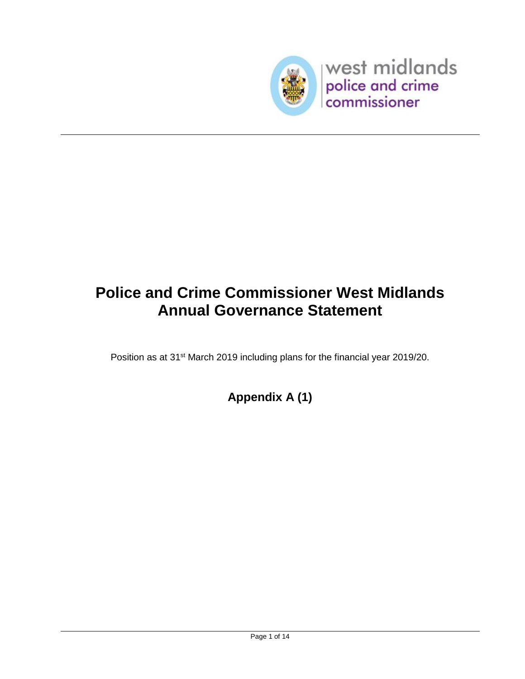

# **Police and Crime Commissioner West Midlands Annual Governance Statement**

Position as at 31<sup>st</sup> March 2019 including plans for the financial year 2019/20.

**Appendix A (1)**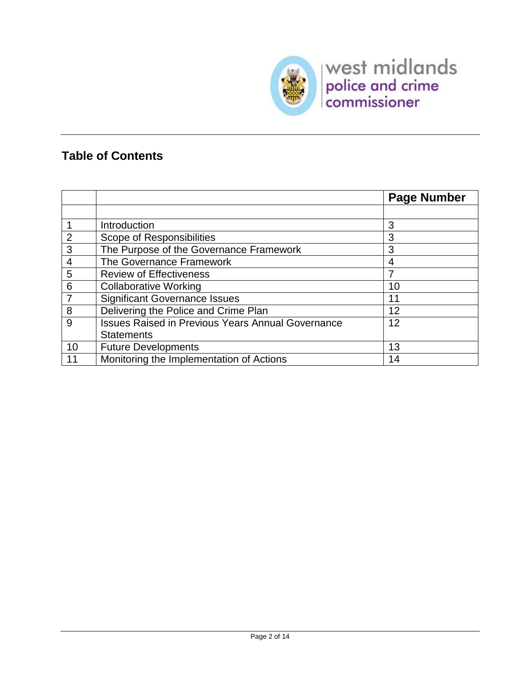

### **Table of Contents**

|                |                                                          | <b>Page Number</b> |
|----------------|----------------------------------------------------------|--------------------|
|                |                                                          |                    |
|                | Introduction                                             | 3                  |
| 2              | Scope of Responsibilities                                | 3                  |
| 3              | The Purpose of the Governance Framework                  | 3                  |
| 4              | The Governance Framework                                 | 4                  |
| 5              | <b>Review of Effectiveness</b>                           |                    |
| 6              | <b>Collaborative Working</b>                             | 10                 |
| $\overline{7}$ | <b>Significant Governance Issues</b>                     | 11                 |
| 8              | Delivering the Police and Crime Plan                     | 12                 |
| 9              | <b>Issues Raised in Previous Years Annual Governance</b> | 12                 |
|                | <b>Statements</b>                                        |                    |
| 10             | <b>Future Developments</b>                               | 13                 |
| 11             | Monitoring the Implementation of Actions                 | 14                 |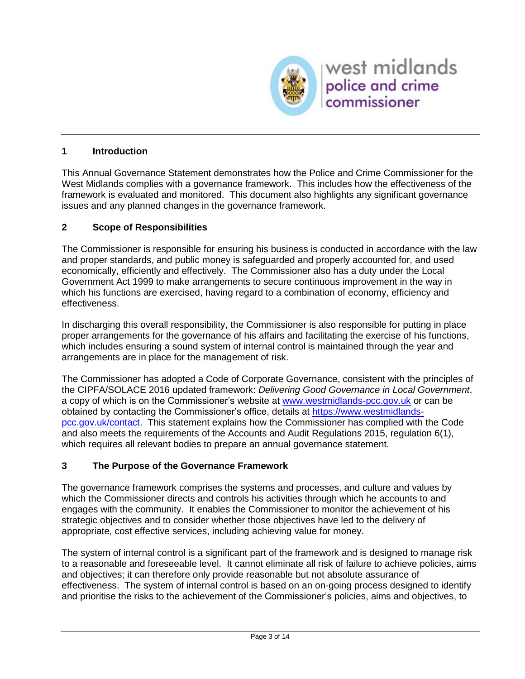

#### **1 Introduction**

This Annual Governance Statement demonstrates how the Police and Crime Commissioner for the West Midlands complies with a governance framework. This includes how the effectiveness of the framework is evaluated and monitored. This document also highlights any significant governance issues and any planned changes in the governance framework.

#### **2 Scope of Responsibilities**

The Commissioner is responsible for ensuring his business is conducted in accordance with the law and proper standards, and public money is safeguarded and properly accounted for, and used economically, efficiently and effectively. The Commissioner also has a duty under the Local Government Act 1999 to make arrangements to secure continuous improvement in the way in which his functions are exercised, having regard to a combination of economy, efficiency and effectiveness.

In discharging this overall responsibility, the Commissioner is also responsible for putting in place proper arrangements for the governance of his affairs and facilitating the exercise of his functions, which includes ensuring a sound system of internal control is maintained through the year and arrangements are in place for the management of risk.

The Commissioner has adopted a Code of Corporate Governance, consistent with the principles of the CIPFA/SOLACE 2016 updated framework: *Delivering Good Governance in Local Government*, a copy of which is on the Commissioner's website at [www.westmidlands-pcc.gov.uk](http://www.westmidlands-pcc.gov.uk/) or can be obtained by contacting the Commissioner's office, details at [https://www.westmidlands](https://www.westmidlands-pcc.gov.uk/contact)[pcc.gov.uk/contact.](https://www.westmidlands-pcc.gov.uk/contact) This statement explains how the Commissioner has complied with the Code and also meets the requirements of the Accounts and Audit Regulations 2015, regulation 6(1), which requires all relevant bodies to prepare an annual governance statement.

#### **3 The Purpose of the Governance Framework**

The governance framework comprises the systems and processes, and culture and values by which the Commissioner directs and controls his activities through which he accounts to and engages with the community. It enables the Commissioner to monitor the achievement of his strategic objectives and to consider whether those objectives have led to the delivery of appropriate, cost effective services, including achieving value for money.

The system of internal control is a significant part of the framework and is designed to manage risk to a reasonable and foreseeable level. It cannot eliminate all risk of failure to achieve policies, aims and objectives; it can therefore only provide reasonable but not absolute assurance of effectiveness. The system of internal control is based on an on-going process designed to identify and prioritise the risks to the achievement of the Commissioner's policies, aims and objectives, to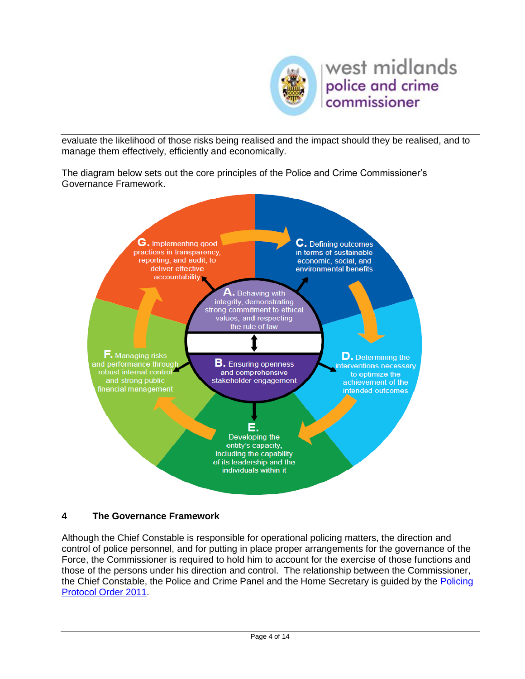

evaluate the likelihood of those risks being realised and the impact should they be realised, and to manage them effectively, efficiently and economically.

The diagram below sets out the core principles of the Police and Crime Commissioner's Governance Framework.



#### **4 The Governance Framework**

Although the Chief Constable is responsible for operational policing matters, the direction and control of police personnel, and for putting in place proper arrangements for the governance of the Force, the Commissioner is required to hold him to account for the exercise of those functions and those of the persons under his direction and control. The relationship between the Commissioner, the Chief Constable, the Police and Crime Panel and the Home Secretary is guided by the [Policing](https://www.gov.uk/government/publications/policing-protocol-order-2011-statutory-instrument)  [Protocol Order 2011.](https://www.gov.uk/government/publications/policing-protocol-order-2011-statutory-instrument)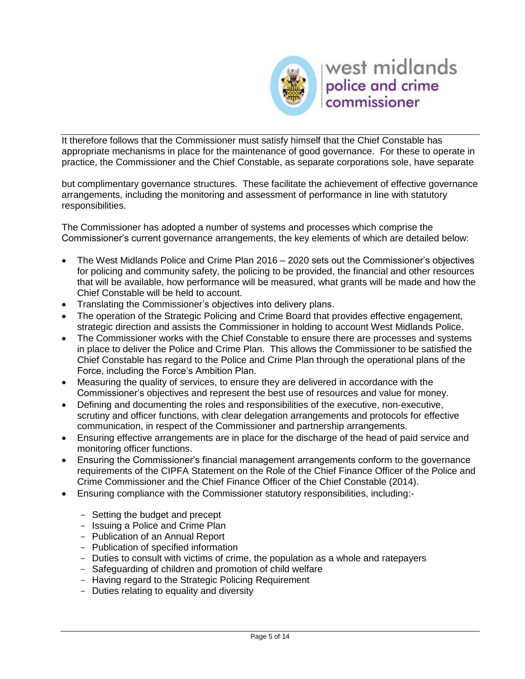

It therefore follows that the Commissioner must satisfy himself that the Chief Constable has appropriate mechanisms in place for the maintenance of good governance. For these to operate in practice, the Commissioner and the Chief Constable, as separate corporations sole, have separate

but complimentary governance structures. These facilitate the achievement of effective governance arrangements, including the monitoring and assessment of performance in line with statutory responsibilities.

The Commissioner has adopted a number of systems and processes which comprise the Commissioner's current governance arrangements, the key elements of which are detailed below:

- The West Midlands Police and Crime Plan 2016 2020 sets out the Commissioner's objectives for policing and community safety, the policing to be provided, the financial and other resources that will be available, how performance will be measured, what grants will be made and how the Chief Constable will be held to account.
- Translating the Commissioner's objectives into delivery plans.
- The operation of the Strategic Policing and Crime Board that provides effective engagement, strategic direction and assists the Commissioner in holding to account West Midlands Police.
- The Commissioner works with the Chief Constable to ensure there are processes and systems in place to deliver the Police and Crime Plan. This allows the Commissioner to be satisfied the Chief Constable has regard to the Police and Crime Plan through the operational plans of the Force, including the Force's Ambition Plan.
- Measuring the quality of services, to ensure they are delivered in accordance with the Commissioner's objectives and represent the best use of resources and value for money.
- Defining and documenting the roles and responsibilities of the executive, non-executive, scrutiny and officer functions, with clear delegation arrangements and protocols for effective communication, in respect of the Commissioner and partnership arrangements.
- Ensuring effective arrangements are in place for the discharge of the head of paid service and monitoring officer functions.
- Ensuring the Commissioner's financial management arrangements conform to the governance requirements of the CIPFA Statement on the Role of the Chief Finance Officer of the Police and Crime Commissioner and the Chief Finance Officer of the Chief Constable (2014).
- Ensuring compliance with the Commissioner statutory responsibilities, including:-
	- Setting the budget and precept
	- Issuing a Police and Crime Plan
	- Publication of an Annual Report
	- Publication of specified information
	- Duties to consult with victims of crime, the population as a whole and ratepayers
	- Safeguarding of children and promotion of child welfare
	- Having regard to the Strategic Policing Requirement
	- Duties relating to equality and diversity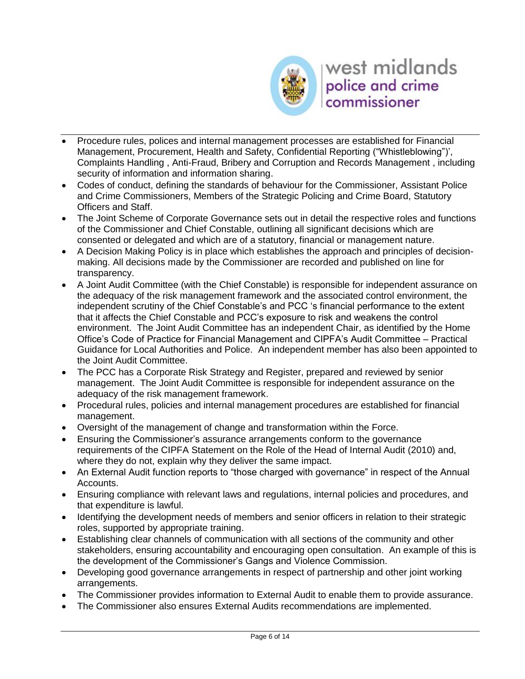

- Procedure rules, polices and internal management processes are established for Financial Management, Procurement, Health and Safety, Confidential Reporting ("Whistleblowing")', Complaints Handling , Anti-Fraud, Bribery and Corruption and Records Management , including security of information and information sharing.
- Codes of conduct, defining the standards of behaviour for the Commissioner, Assistant Police and Crime Commissioners, Members of the Strategic Policing and Crime Board, Statutory Officers and Staff.
- The Joint Scheme of Corporate Governance sets out in detail the respective roles and functions of the Commissioner and Chief Constable, outlining all significant decisions which are consented or delegated and which are of a statutory, financial or management nature.
- A Decision Making Policy is in place which establishes the approach and principles of decisionmaking. All decisions made by the Commissioner are recorded and published on line for transparency.
- A Joint Audit Committee (with the Chief Constable) is responsible for independent assurance on the adequacy of the risk management framework and the associated control environment, the independent scrutiny of the Chief Constable's and PCC 's financial performance to the extent that it affects the Chief Constable and PCC's exposure to risk and weakens the control environment. The Joint Audit Committee has an independent Chair, as identified by the Home Office's Code of Practice for Financial Management and CIPFA's Audit Committee – Practical Guidance for Local Authorities and Police. An independent member has also been appointed to the Joint Audit Committee.
- The PCC has a Corporate Risk Strategy and Register, prepared and reviewed by senior management. The Joint Audit Committee is responsible for independent assurance on the adequacy of the risk management framework.
- Procedural rules, policies and internal management procedures are established for financial management.
- Oversight of the management of change and transformation within the Force.
- Ensuring the Commissioner's assurance arrangements conform to the governance requirements of the CIPFA Statement on the Role of the Head of Internal Audit (2010) and, where they do not, explain why they deliver the same impact.
- An External Audit function reports to "those charged with governance" in respect of the Annual Accounts.
- Ensuring compliance with relevant laws and regulations, internal policies and procedures, and that expenditure is lawful.
- Identifying the development needs of members and senior officers in relation to their strategic roles, supported by appropriate training.
- Establishing clear channels of communication with all sections of the community and other stakeholders, ensuring accountability and encouraging open consultation. An example of this is the development of the Commissioner's Gangs and Violence Commission.
- Developing good governance arrangements in respect of partnership and other joint working arrangements.
- The Commissioner provides information to External Audit to enable them to provide assurance.
- The Commissioner also ensures External Audits recommendations are implemented.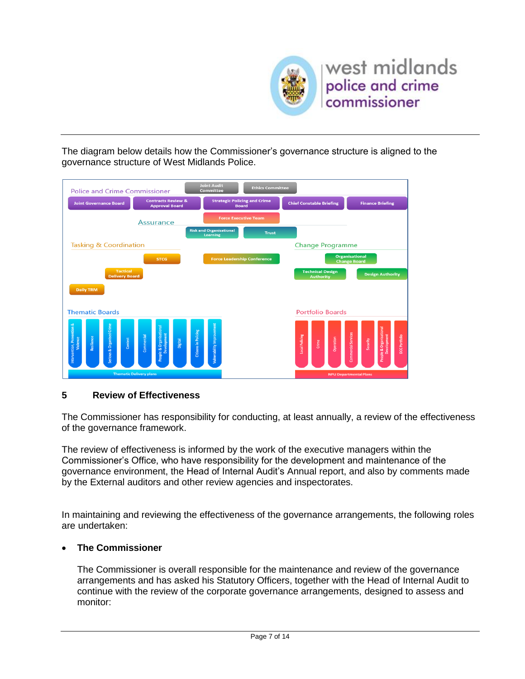

The diagram below details how the Commissioner's governance structure is aligned to the governance structure of West Midlands Police.



#### **5 Review of Effectiveness**

The Commissioner has responsibility for conducting, at least annually, a review of the effectiveness of the governance framework.

The review of effectiveness is informed by the work of the executive managers within the Commissioner's Office, who have responsibility for the development and maintenance of the governance environment, the Head of Internal Audit's Annual report, and also by comments made by the External auditors and other review agencies and inspectorates.

In maintaining and reviewing the effectiveness of the governance arrangements, the following roles are undertaken:

#### **The Commissioner**

The Commissioner is overall responsible for the maintenance and review of the governance arrangements and has asked his Statutory Officers, together with the Head of Internal Audit to continue with the review of the corporate governance arrangements, designed to assess and monitor: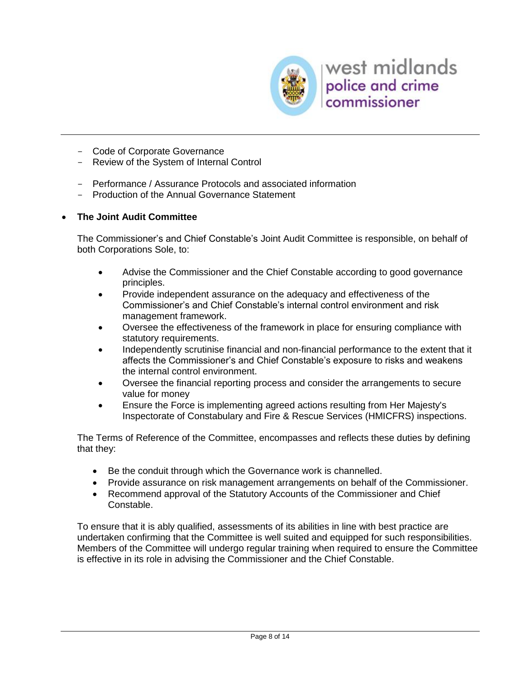

- Code of Corporate Governance
- Review of the System of Internal Control
- Performance / Assurance Protocols and associated information
- Production of the Annual Governance Statement

#### **The Joint Audit Committee**

The Commissioner's and Chief Constable's Joint Audit Committee is responsible, on behalf of both Corporations Sole, to:

- Advise the Commissioner and the Chief Constable according to good governance principles.
- Provide independent assurance on the adequacy and effectiveness of the Commissioner's and Chief Constable's internal control environment and risk management framework.
- Oversee the effectiveness of the framework in place for ensuring compliance with statutory requirements.
- Independently scrutinise financial and non-financial performance to the extent that it affects the Commissioner's and Chief Constable's exposure to risks and weakens the internal control environment.
- Oversee the financial reporting process and consider the arrangements to secure value for money
- Ensure the Force is implementing agreed actions resulting from Her Majesty's Inspectorate of Constabulary and Fire & Rescue Services (HMICFRS) inspections.

The Terms of Reference of the Committee, encompasses and reflects these duties by defining that they:

- Be the conduit through which the Governance work is channelled.
- Provide assurance on risk management arrangements on behalf of the Commissioner.
- Recommend approval of the Statutory Accounts of the Commissioner and Chief Constable.

To ensure that it is ably qualified, assessments of its abilities in line with best practice are undertaken confirming that the Committee is well suited and equipped for such responsibilities. Members of the Committee will undergo regular training when required to ensure the Committee is effective in its role in advising the Commissioner and the Chief Constable.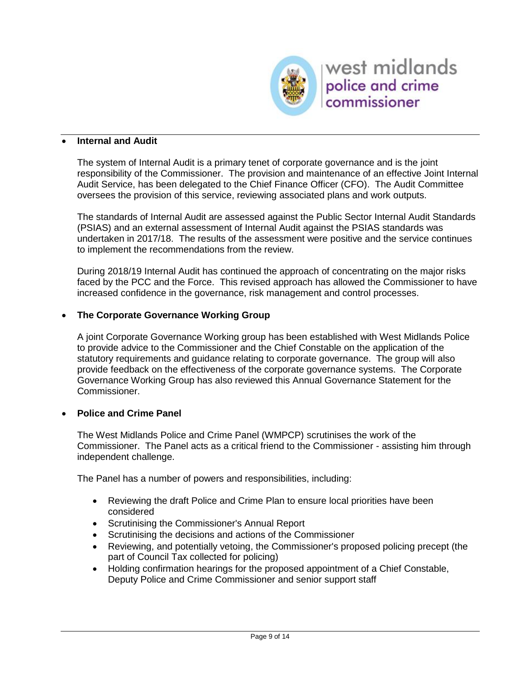

#### **Internal and Audit**

The system of Internal Audit is a primary tenet of corporate governance and is the joint responsibility of the Commissioner. The provision and maintenance of an effective Joint Internal Audit Service, has been delegated to the Chief Finance Officer (CFO). The Audit Committee oversees the provision of this service, reviewing associated plans and work outputs.

The standards of Internal Audit are assessed against the Public Sector Internal Audit Standards (PSIAS) and an external assessment of Internal Audit against the PSIAS standards was undertaken in 2017/18. The results of the assessment were positive and the service continues to implement the recommendations from the review.

During 2018/19 Internal Audit has continued the approach of concentrating on the major risks faced by the PCC and the Force. This revised approach has allowed the Commissioner to have increased confidence in the governance, risk management and control processes.

#### **The Corporate Governance Working Group**

A joint Corporate Governance Working group has been established with West Midlands Police to provide advice to the Commissioner and the Chief Constable on the application of the statutory requirements and guidance relating to corporate governance. The group will also provide feedback on the effectiveness of the corporate governance systems. The Corporate Governance Working Group has also reviewed this Annual Governance Statement for the Commissioner.

#### **Police and Crime Panel**

The West Midlands Police and Crime Panel (WMPCP) scrutinises the work of the Commissioner. The Panel acts as a critical friend to the Commissioner - assisting him through independent challenge.

The Panel has a number of powers and responsibilities, including:

- Reviewing the draft Police and Crime Plan to ensure local priorities have been considered
- Scrutinising the Commissioner's Annual Report
- Scrutinising the decisions and actions of the Commissioner
- Reviewing, and potentially vetoing, the Commissioner's proposed policing precept (the part of Council Tax collected for policing)
- Holding confirmation hearings for the proposed appointment of a Chief Constable, Deputy Police and Crime Commissioner and senior support staff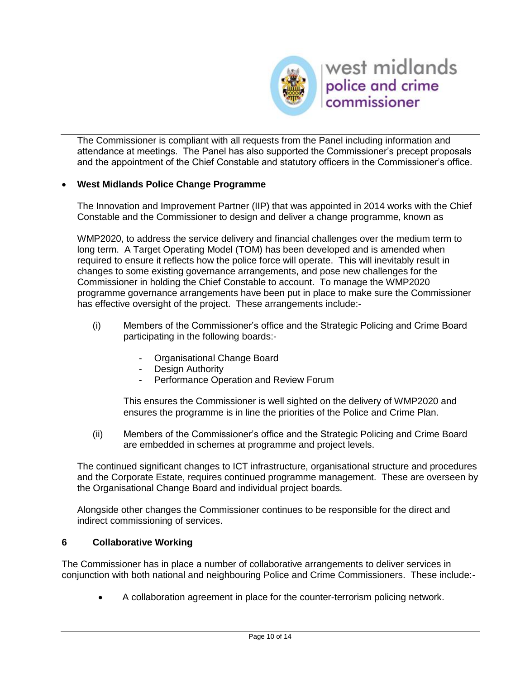

The Commissioner is compliant with all requests from the Panel including information and attendance at meetings. The Panel has also supported the Commissioner's precept proposals and the appointment of the Chief Constable and statutory officers in the Commissioner's office.

#### **West Midlands Police Change Programme**

The Innovation and Improvement Partner (IIP) that was appointed in 2014 works with the Chief Constable and the Commissioner to design and deliver a change programme, known as

WMP2020, to address the service delivery and financial challenges over the medium term to long term. A Target Operating Model (TOM) has been developed and is amended when required to ensure it reflects how the police force will operate. This will inevitably result in changes to some existing governance arrangements, and pose new challenges for the Commissioner in holding the Chief Constable to account. To manage the WMP2020 programme governance arrangements have been put in place to make sure the Commissioner has effective oversight of the project. These arrangements include:-

- (i) Members of the Commissioner's office and the Strategic Policing and Crime Board participating in the following boards:-
	- Organisational Change Board
	- Design Authority
	- Performance Operation and Review Forum

This ensures the Commissioner is well sighted on the delivery of WMP2020 and ensures the programme is in line the priorities of the Police and Crime Plan.

(ii) Members of the Commissioner's office and the Strategic Policing and Crime Board are embedded in schemes at programme and project levels.

The continued significant changes to ICT infrastructure, organisational structure and procedures and the Corporate Estate, requires continued programme management. These are overseen by the Organisational Change Board and individual project boards.

Alongside other changes the Commissioner continues to be responsible for the direct and indirect commissioning of services.

#### **6 Collaborative Working**

The Commissioner has in place a number of collaborative arrangements to deliver services in conjunction with both national and neighbouring Police and Crime Commissioners. These include:-

A collaboration agreement in place for the counter-terrorism policing network.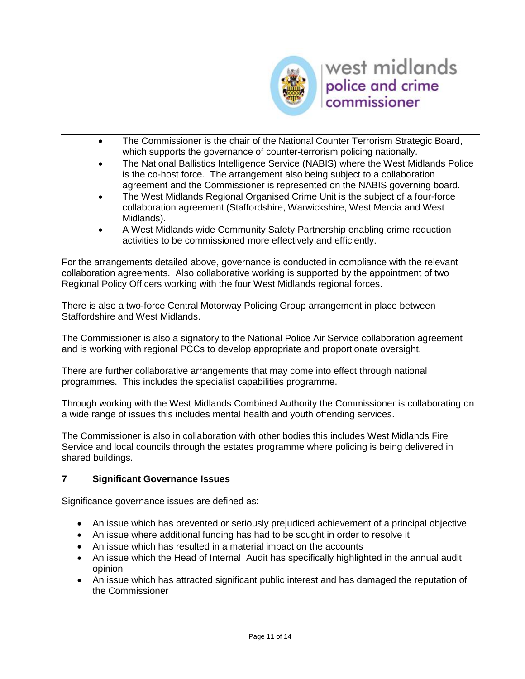

- The Commissioner is the chair of the National Counter Terrorism Strategic Board, which supports the governance of counter-terrorism policing nationally.
- The National Ballistics Intelligence Service (NABIS) where the West Midlands Police is the co-host force. The arrangement also being subject to a collaboration agreement and the Commissioner is represented on the NABIS governing board.
- The West Midlands Regional Organised Crime Unit is the subject of a four-force collaboration agreement (Staffordshire, Warwickshire, West Mercia and West Midlands).
- A West Midlands wide Community Safety Partnership enabling crime reduction activities to be commissioned more effectively and efficiently.

For the arrangements detailed above, governance is conducted in compliance with the relevant collaboration agreements. Also collaborative working is supported by the appointment of two Regional Policy Officers working with the four West Midlands regional forces.

There is also a two-force Central Motorway Policing Group arrangement in place between Staffordshire and West Midlands.

The Commissioner is also a signatory to the National Police Air Service collaboration agreement and is working with regional PCCs to develop appropriate and proportionate oversight.

There are further collaborative arrangements that may come into effect through national programmes. This includes the specialist capabilities programme.

Through working with the West Midlands Combined Authority the Commissioner is collaborating on a wide range of issues this includes mental health and youth offending services.

The Commissioner is also in collaboration with other bodies this includes West Midlands Fire Service and local councils through the estates programme where policing is being delivered in shared buildings.

#### **7 Significant Governance Issues**

Significance governance issues are defined as:

- An issue which has prevented or seriously prejudiced achievement of a principal objective
- An issue where additional funding has had to be sought in order to resolve it
- An issue which has resulted in a material impact on the accounts
- An issue which the Head of Internal Audit has specifically highlighted in the annual audit opinion
- An issue which has attracted significant public interest and has damaged the reputation of the Commissioner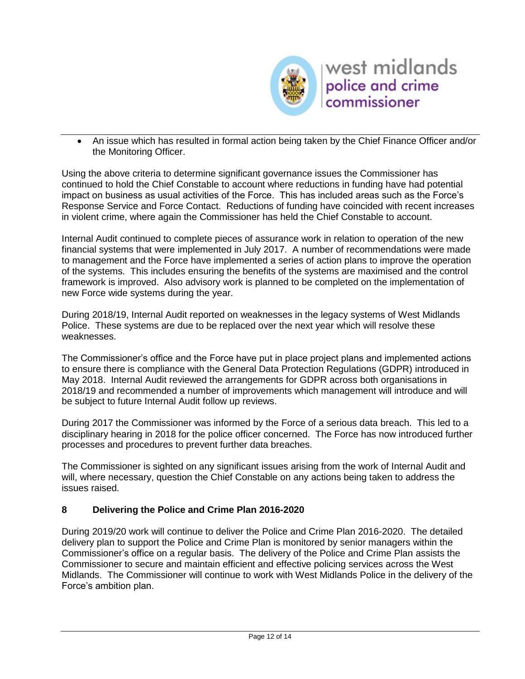

 An issue which has resulted in formal action being taken by the Chief Finance Officer and/or the Monitoring Officer.

Using the above criteria to determine significant governance issues the Commissioner has continued to hold the Chief Constable to account where reductions in funding have had potential impact on business as usual activities of the Force. This has included areas such as the Force's Response Service and Force Contact. Reductions of funding have coincided with recent increases in violent crime, where again the Commissioner has held the Chief Constable to account.

Internal Audit continued to complete pieces of assurance work in relation to operation of the new financial systems that were implemented in July 2017. A number of recommendations were made to management and the Force have implemented a series of action plans to improve the operation of the systems. This includes ensuring the benefits of the systems are maximised and the control framework is improved. Also advisory work is planned to be completed on the implementation of new Force wide systems during the year.

During 2018/19, Internal Audit reported on weaknesses in the legacy systems of West Midlands Police. These systems are due to be replaced over the next year which will resolve these weaknesses.

The Commissioner's office and the Force have put in place project plans and implemented actions to ensure there is compliance with the General Data Protection Regulations (GDPR) introduced in May 2018. Internal Audit reviewed the arrangements for GDPR across both organisations in 2018/19 and recommended a number of improvements which management will introduce and will be subject to future Internal Audit follow up reviews.

During 2017 the Commissioner was informed by the Force of a serious data breach. This led to a disciplinary hearing in 2018 for the police officer concerned. The Force has now introduced further processes and procedures to prevent further data breaches.

The Commissioner is sighted on any significant issues arising from the work of Internal Audit and will, where necessary, question the Chief Constable on any actions being taken to address the issues raised.

#### **8 Delivering the Police and Crime Plan 2016-2020**

During 2019/20 work will continue to deliver the Police and Crime Plan 2016-2020. The detailed delivery plan to support the Police and Crime Plan is monitored by senior managers within the Commissioner's office on a regular basis. The delivery of the Police and Crime Plan assists the Commissioner to secure and maintain efficient and effective policing services across the West Midlands. The Commissioner will continue to work with West Midlands Police in the delivery of the Force's ambition plan.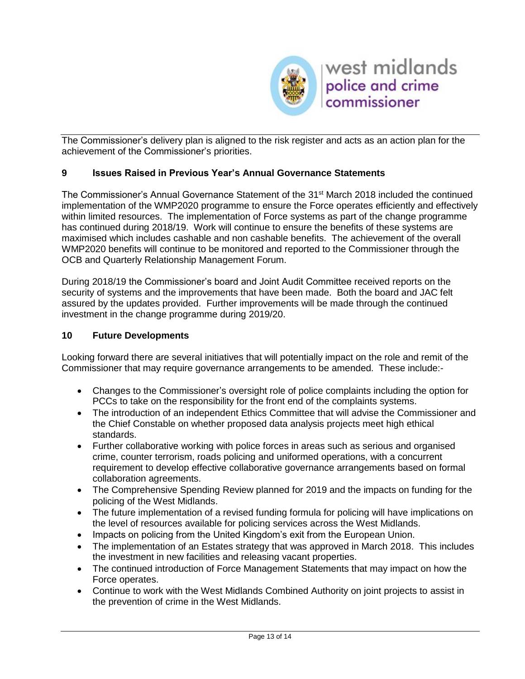

The Commissioner's delivery plan is aligned to the risk register and acts as an action plan for the achievement of the Commissioner's priorities.

#### **9 Issues Raised in Previous Year's Annual Governance Statements**

The Commissioner's Annual Governance Statement of the 31<sup>st</sup> March 2018 included the continued implementation of the WMP2020 programme to ensure the Force operates efficiently and effectively within limited resources. The implementation of Force systems as part of the change programme has continued during 2018/19. Work will continue to ensure the benefits of these systems are maximised which includes cashable and non cashable benefits. The achievement of the overall WMP2020 benefits will continue to be monitored and reported to the Commissioner through the OCB and Quarterly Relationship Management Forum.

During 2018/19 the Commissioner's board and Joint Audit Committee received reports on the security of systems and the improvements that have been made. Both the board and JAC felt assured by the updates provided. Further improvements will be made through the continued investment in the change programme during 2019/20.

#### **10 Future Developments**

Looking forward there are several initiatives that will potentially impact on the role and remit of the Commissioner that may require governance arrangements to be amended. These include:-

- Changes to the Commissioner's oversight role of police complaints including the option for PCCs to take on the responsibility for the front end of the complaints systems.
- The introduction of an independent Ethics Committee that will advise the Commissioner and the Chief Constable on whether proposed data analysis projects meet high ethical standards.
- Further collaborative working with police forces in areas such as serious and organised crime, counter terrorism, roads policing and uniformed operations, with a concurrent requirement to develop effective collaborative governance arrangements based on formal collaboration agreements.
- The Comprehensive Spending Review planned for 2019 and the impacts on funding for the policing of the West Midlands.
- The future implementation of a revised funding formula for policing will have implications on the level of resources available for policing services across the West Midlands.
- Impacts on policing from the United Kingdom's exit from the European Union.
- The implementation of an Estates strategy that was approved in March 2018. This includes the investment in new facilities and releasing vacant properties.
- The continued introduction of Force Management Statements that may impact on how the Force operates.
- Continue to work with the West Midlands Combined Authority on joint projects to assist in the prevention of crime in the West Midlands.